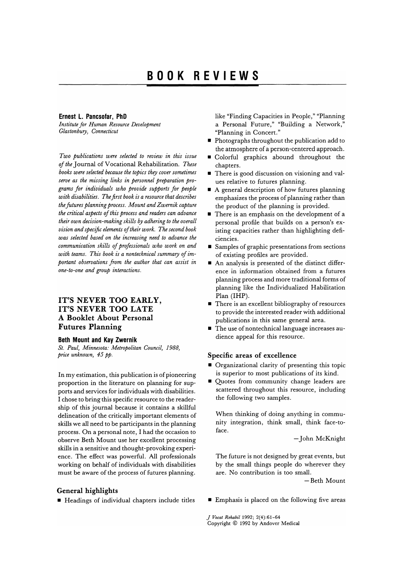### **Ernest L. Pancsofar, PhD**

*Institute for Human Resource Development Glastonbury, Connecticut* 

*Two publications were selected to review in this issue of the* Journal of Vocational Rehabilitation. *These books were selected because the topics thry cover sometimes serve as the missing links in personnel preparation programs for individuals who provide supports for people*  with disabilities. The first book is a resource that describes the futures planning process. Mount and Zwernik capture *the critical aspects of this process and readers can advance their own decision-making skills by adhering to the overall vision and specific elements of their work. The second book was selected based on the increasing need to advance the communication skills of professionals who work on and with teams. This book is a nontechnical summary of important observations from the author that can assist in one-to-one and group interactions.* 

# **IT'S NEVER TOO EARLY, IT'S NEVER TOO LATE A Booklet About Personal Futures Planning**

#### **Beth Mount and Kay Zwernik**

*St. Paul, Minnesota: Metropolitan Council, 1988, price unknown,* 45 *pp.* 

In my estimation, this publication is of pioneering proportion in the literature on planning for supports and services for individuals with disabilities. I chose to bring this specific resource to the readership of this journal because it contains a skillful delineation of the critically important elements of skills we all need to be participants in the planning process. On a personal note, I had the occasion to observe Beth Mount use her excellent processing skills in a sensitive and thought-provoking experience. The effect was powerful. All professionals working on behalf of individuals with disabilities must be aware of the process of futures planning.

## **General highlights**

• Headings of individual chapters include titles

like "Finding Capacities in People," "Planning a Personal Future," "Building a Network," "Planning in Concert."

- Photographs throughout the publication add to the atmosphere of a person-centered approach.
- Colorful graphics abound throughout the chapters.
- **•** There is good discussion on visioning and values relative to futures planning.
- A general description of how futures planning emphasizes the process of planning rather than the product of the planning is provided.
- There is an emphasis on the development of a personal profile that builds on a person's existing capacities rather than highlighting deficiencies.
- Samples of graphic presentations from sections of existing profiles are provided.
- An analysis is presented of the distinct difference in information obtained from a futures planning process and more traditional forms of planning like the Individualized Habilitation Plan (IHP).
- There is an excellent bibliography of resources to provide the interested reader with additional publications in this same general area.
- The use of nontechnical language increases audience appeal for this resource.

#### **Specific areas of excellence**

- **Organizational clarity of presenting this topic** is superior to most publications of its kind.
- Quotes from community change leaders are scattered throughout this resource, including the following two samples.

When thinking of doing anything in community integration, think small, think face-toface.

- John McKnight

The future is not designed by great events, but by the small things people do wherever they are. No contribution is too small.

-Beth Mount

**• Emphasis is placed on the following five areas** 

*J Vocal Rehabil* 1992; 2(4):61-64 Copyright © 1992 by Andover Medical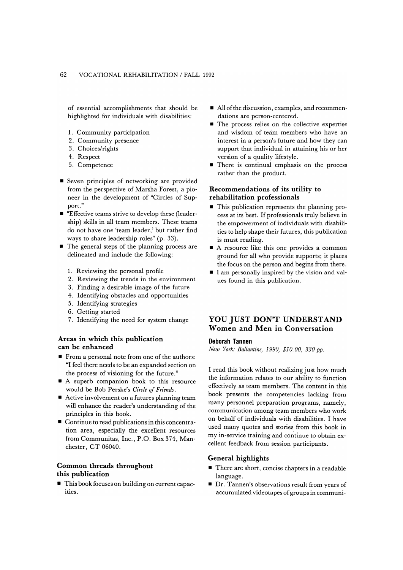of essential accomplishments that should be highlighted for individuals with disabilities:

- 1. Community participation
- 2. Community presence
- 3. Choices/rights
- 4. Respect
- 5. Competence
- Seven principles of networking are provided from the perspective of Marsha Forest, a pioneer in the development of "Circles of Support."
- "Effective teams strive to develop these (leadership) skills in all team members. These teams do not have one 'team leader,' but rather find ways to share leadership roles" (p. 33).
- The general steps of the planning process are delineated and include the following:
	- 1. Reviewing the personal profile
	- 2. Reviewing the trends in the environment
	- 3. Finding a desirable image of the future
	- 4. Identifying obstacles and opportunities
	- 5. Identifying strategies
	- 6. Getting started
	- 7. Identifying the need for system change

### **Areas in which this publication can be enhanced**

- **From a personal note from one of the authors:** "I feel there needs to be an expanded section on the process of visioning for the future."
- A superb companion book to this resource would be Bob Perske's *Circle of Friends.*
- Active involvement on a futures planning team will enhance the reader's understanding of the principles in this book.
- **Continue to read publications in this concentra**tion area, especially the excellent resources from Communitas, Inc., P.O. Box 374, Manchester, CT 06040.

### **Common threads throughout this publication**

• This book focuses on building on current capacities.

- All of the discussion, examples, and recommendations are person-centered.
- **The process relies on the collective expertise** and wisdom of team members who have an interest in a person's future and how they can support that individual in attaining his or her version of a quality lifestyle.
- **There is continual emphasis on the process** rather than the product.

## **Recommendations of its utility to rehabilitation professionals**

- This publication represents the planning process at its best. If professionals truly believe in the empowerment of individuals with disabilities to help shape their futures, this publication is must reading.
- A resource like this one provides a common ground for all who provide supports; it places the focus on the person and begins from there.
- I am personally inspired by the vision and values found in this publication.

# **YOU JUST DON'T UNDERSTAND Women and Men in Conversation**

## **Deborah Tannen**

*New York: Ballantine, 1990, \$10.00, 330 pp.* 

I read this book without realizing just how much the information relates to our ability to function effectively as team members. The content in this book presents the competencies lacking from many personnel preparation programs, namely, communication among team members who work on behalf of individuals with disabilities. I have used many quotes and stories from this book in my in-service training and continue to obtain excellent feedback from session participants.

### **General highlights**

- **There are short, concise chapters in a readable** language.
- **Dr.** Tannen's observations result from years of accumulated videotapes of groups in communi-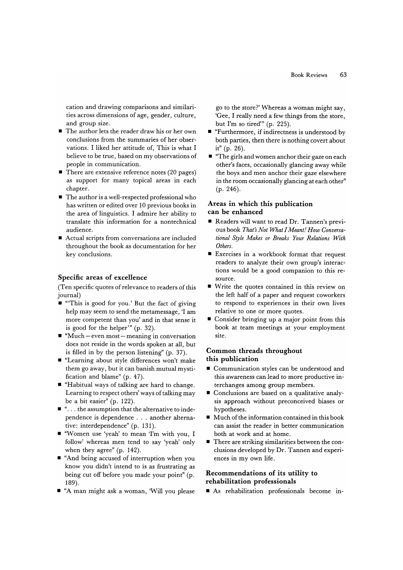cation and drawing comparisons and similarities across dimensions of age, gender, culture, and group size.

- The author lets the reader draw his or her own conclusions from the summaries of her observations. 1 liked her attitude of, This is what 1 believe to be true, based on my observations of people in communication.
- $\blacksquare$  There are extensive reference notes (20 pages) as support for many topical areas in each chapter.
- The author is a well-respected professional who has written or edited over 10 previous books in the area of linguistics. 1 admire her ability to translate this information for a nontechnical audience.
- Actual scripts from conversations are included throughout the book as documentation for her key conclusions.

## **Specific areas of excellence**

(Ten specific quotes of relevance to readers of this journal)

- '''This is good for you.' But the fact of giving help may seem to send the metamessage, 'I am more competent than you' and in that sense it is good for the helper'" (p. 32).
- $\blacksquare$  "Much even most meaning in conversation does not reside in the words spoken at all, but is filled in by the person listening" (p. 37).
- "Learning about style differences won't make them go away, but it can banish mutual mystification and blame" (p. 47).
- "Habitual ways of talking are hard to change. Learning to respect others' ways of talking may be a bit easier" (p. 122).
- " ... the assumption that the alternative to independence is dependence ... another alternative: interdependence" (p. 131).
- "Women use 'yeah' to mean 'I'm with you, 1 follow' whereas men tend to say 'yeah' only when they agree" (p. 142).
- "And being accused of interruption when you know you didn't intend to is as frustrating as being cut off before you made your point" (p. 189).
- "A man might ask a woman, 'Will you please

go to the store?' Whereas a woman might say, 'Gee, 1 really need a few things from the store, but I'm so tired'" (p. 225).

- "Furthermore, if indirectness is understood by both parties, then there is nothing covert about it" (p. 26).
- "The girls and women anchor their gaze on each other's faces, occasionally glancing away while the boys and men anchor their gaze elsewhere in the room occasionally glancing at each other" (p. 246).

# **Areas in which this publication can be enhanced**

- Readers will want to read Dr. Tannen's previous book *That's Not What I Meant! How Conversational Style Makes or Breaks Your Relations With Others.*
- Exercises in a workbook format that request readers to analyze their own group's interactions would be a good companion to this resource.
- Write the quotes contained in this review on the left half of a paper and request coworkers to respond to experiences in their own lives relative to one or more quotes.
- Consider bringing up a major point from this book at team meetings at your employment site.

# **Common threads throughout this publication**

- Communication styles can be understood and this awareness can lead to more productive interchanges among group members.
- Conclusions are based on a qualitative analysis approach without preconceived biases or hypotheses.
- Much of the information contained in this book can assist the reader in better communication both at work and at home.
- **There are striking similarities between the con**clusions developed by Dr. Tannen and experiences in my own life.

# **Recommendations of its utility to rehabilitation professionals**

• As rehabilitation professionals become m-